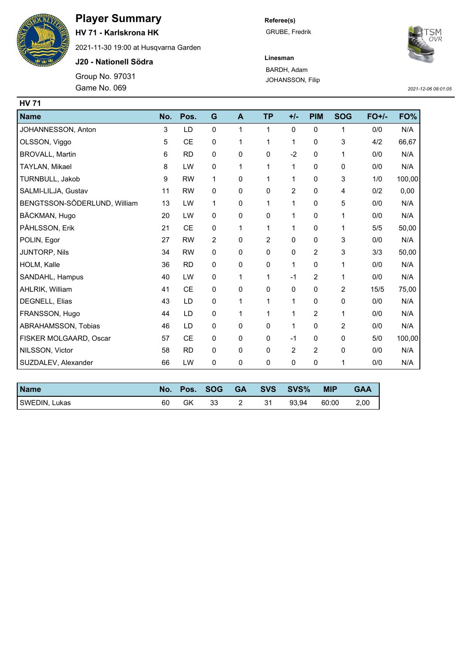

## **Player Summary**

**HV 71 - Karlskrona HK**

2021-11-30 19:00 at Husqvarna Garden

**J20 - Nationell Södra**

Group No. 97031 Game No. 069 *2021-12-06 08:01:05*

**Referee(s)** GRUBE, Fredrik



**Linesman** BARDH, Adam JOHANSSON, Filip

| <b>HV 71</b>                 |     |           |                |              |                |                |            |            |         |        |
|------------------------------|-----|-----------|----------------|--------------|----------------|----------------|------------|------------|---------|--------|
| <b>Name</b>                  | No. | Pos.      | G              | A            | <b>TP</b>      | $+/-$          | <b>PIM</b> | <b>SOG</b> | $FO+/-$ | FO%    |
| JOHANNESSON, Anton           | 3   | LD        | $\mathbf 0$    | 1            | 1              | 0              | 0          | 1          | 0/0     | N/A    |
| OLSSON, Viggo                | 5   | <b>CE</b> | 0              | 1            | 1              | 1              | 0          | 3          | 4/2     | 66,67  |
| <b>BROVALL, Martin</b>       | 6   | <b>RD</b> | 0              | 0            | 0              | $-2$           | 0          | 1          | 0/0     | N/A    |
| TAYLAN, Mikael               | 8   | LW        | 0              | 1            | 1              | 1              | 0          | 0          | 0/0     | N/A    |
| TURNBULL, Jakob              | 9   | <b>RW</b> | 1              | 0            | 1              | 1              | 0          | 3          | 1/0     | 100,00 |
| SALMI-LILJA, Gustav          | 11  | <b>RW</b> | $\mathbf 0$    | 0            | 0              | $\overline{2}$ | 0          | 4          | 0/2     | 0,00   |
| BENGTSSON-SÖDERLUND, William | 13  | LW        | 1              | 0            | 1              | 1              | 0          | 5          | 0/0     | N/A    |
| BÄCKMAN, Hugo                | 20  | LW        | 0              | 0            | 0              | 1              | 0          | 1          | 0/0     | N/A    |
| PÅHLSSON, Erik               | 21  | <b>CE</b> | 0              | $\mathbf{1}$ | 1              | 1              | 0          | 1          | 5/5     | 50,00  |
| POLIN, Egor                  | 27  | <b>RW</b> | $\overline{2}$ | 0            | $\overline{2}$ | 0              | 0          | 3          | 0/0     | N/A    |
| JUNTORP, Nils                | 34  | <b>RW</b> | 0              | 0            | 0              | 0              | 2          | 3          | 3/3     | 50,00  |
| HOLM, Kalle                  | 36  | <b>RD</b> | 0              | 0            | 0              | 1              | 0          | 1          | 0/0     | N/A    |
| SANDAHL, Hampus              | 40  | LW        | 0              | 1            | 1              | $-1$           | 2          | 1          | 0/0     | N/A    |
| AHLRIK, William              | 41  | <b>CE</b> | 0              | 0            | 0              | 0              | 0          | 2          | 15/5    | 75,00  |
| DEGNELL, Elias               | 43  | LD        | 0              | 1            | 1              | $\mathbf{1}$   | 0          | 0          | 0/0     | N/A    |
| FRANSSON, Hugo               | 44  | LD        | 0              | 1            | 1              | 1              | 2          | 1          | 0/0     | N/A    |
| ABRAHAMSSON, Tobias          | 46  | LD        | 0              | 0            | 0              | 1              | 0          | 2          | 0/0     | N/A    |
| FISKER MOLGAARD, Oscar       | 57  | <b>CE</b> | 0              | 0            | 0              | $-1$           | 0          | 0          | 5/0     | 100,00 |
| NILSSON, Victor              | 58  | <b>RD</b> | 0              | 0            | 0              | $\overline{2}$ | 2          | 0          | 0/0     | N/A    |
| SUZDALEV, Alexander          | 66  | LW        | 0              | 0            | 0              | 0              | 0          | 1          | 0/0     | N/A    |

| <b>Name</b>   | No. | Pos. | <b>SOG</b> | <b>GA</b> | <b>SVS</b> | SVS%  | <b>MIP</b> | <b>GAA</b> |
|---------------|-----|------|------------|-----------|------------|-------|------------|------------|
| SWEDIN, Lukas | 60  | GK   | 33         |           | 31         | 93.94 | 60:00      | 2,00       |